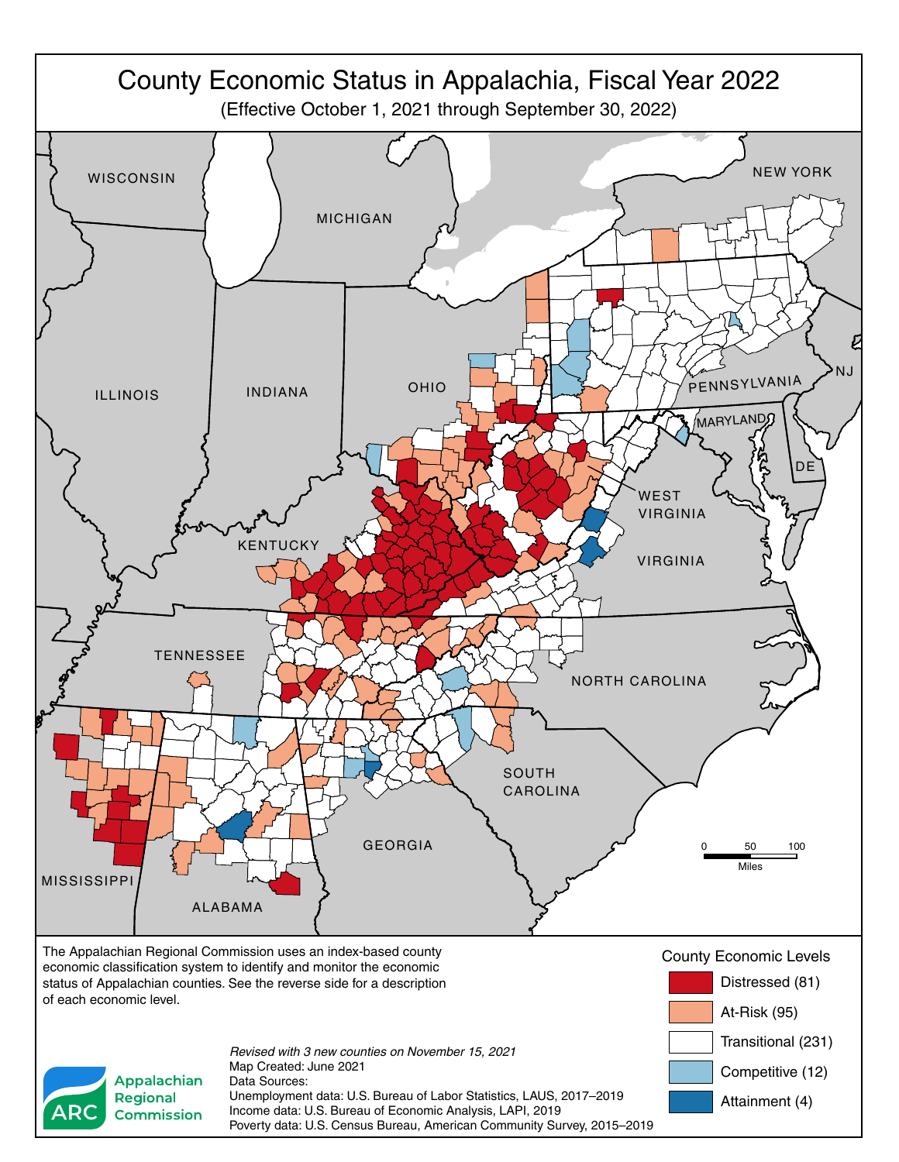